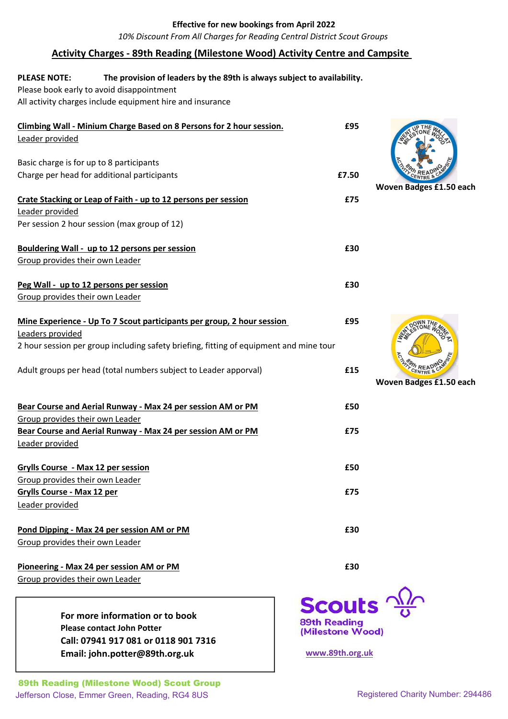### Effective for new bookings from April 2022

10% Discount From All Charges for Reading Central District Scout Groups

## Activity Charges - 89th Reading (Milestone Wood) Activity Centre and Campsite

#### The provision of leaders by the 89th is always subject to availability. PLEASE NOTE:

Please book early to avoid disappointment All activity charges include equipment hire and insurance

| Climbing Wall - Minium Charge Based on 8 Persons for 2 hour session.<br>Leader provided | £95                                     |                         |
|-----------------------------------------------------------------------------------------|-----------------------------------------|-------------------------|
| Basic charge is for up to 8 participants                                                |                                         |                         |
| Charge per head for additional participants                                             | £7.50                                   |                         |
| Crate Stacking or Leap of Faith - up to 12 persons per session                          | £75                                     | Woven Badges £1.50 each |
| Leader provided                                                                         |                                         |                         |
| Per session 2 hour session (max group of 12)                                            |                                         |                         |
| Bouldering Wall - up to 12 persons per session<br>Group provides their own Leader       | £30                                     |                         |
|                                                                                         | £30                                     |                         |
| Peg Wall - up to 12 persons per session<br>Group provides their own Leader              |                                         |                         |
|                                                                                         |                                         |                         |
| Mine Experience - Up To 7 Scout participants per group, 2 hour session                  | £95                                     |                         |
| Leaders provided                                                                        |                                         |                         |
| 2 hour session per group including safety briefing, fitting of equipment and mine tour  |                                         |                         |
| Adult groups per head (total numbers subject to Leader apporval)                        | £15                                     | Woven Badges £1.50 each |
| Bear Course and Aerial Runway - Max 24 per session AM or PM                             | £50                                     |                         |
| Group provides their own Leader                                                         |                                         |                         |
| Bear Course and Aerial Runway - Max 24 per session AM or PM                             | £75                                     |                         |
| Leader provided                                                                         |                                         |                         |
|                                                                                         |                                         |                         |
| Grylls Course - Max 12 per session                                                      | £50                                     |                         |
| Group provides their own Leader                                                         |                                         |                         |
| <b>Grylls Course - Max 12 per</b>                                                       | £75                                     |                         |
| Leader provided                                                                         |                                         |                         |
|                                                                                         |                                         |                         |
| Pond Dipping - Max 24 per session AM or PM                                              | £30                                     |                         |
| Group provides their own Leader                                                         |                                         |                         |
| Pioneering - Max 24 per session AM or PM                                                | £30                                     |                         |
| Group provides their own Leader                                                         |                                         |                         |
|                                                                                         | <b>Scouts</b> $\frac{\Delta M}{\sigma}$ |                         |
| For more information or to book                                                         | <b>89th Reading</b>                     |                         |
| <b>Please contact John Potter</b>                                                       | (Milestone Wood)                        |                         |

Please contact John Potter Call: 07941 917 081 or 0118 901 7316 Email: john.potter@89th.org.uk entitled www.89th.org.uk